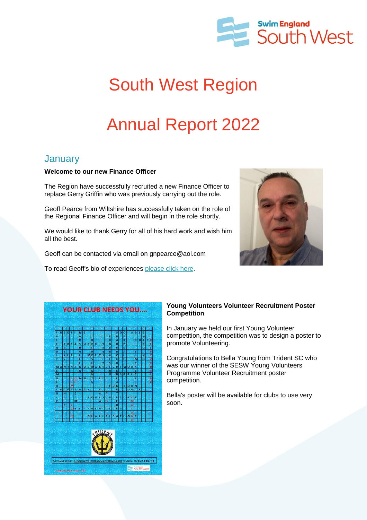

# South West Region

## Annual Report 2022

### **January**

**Welcome to our new Finance Officer** 

The Region have successfully recruited a new Finance Officer to replace Gerry Griffin who was previously carrying out the role.

Geoff Pearce from Wiltshire has successfully taken on the role of the Regional Finance Officer and will begin in the role shortly.

We would like to thank Gerry for all of his hard work and wish him all the best.

Geoff can be contacted via email on gnpearce@aol.com

To read Geoff's bio of experiences [please click here.](https://www.swimwest.org.uk/geoff-pearce)





#### **Young Volunteers Volunteer Recruitment Poster Competition**

In January we held our first Young Volunteer competition, the competition was to design a poster to promote Volunteering.

Congratulations to Bella Young from Trident SC who was our winner of the SESW Young Volunteers Programme Volunteer Recruitment poster competition.

Bella's poster will be available for clubs to use very soon.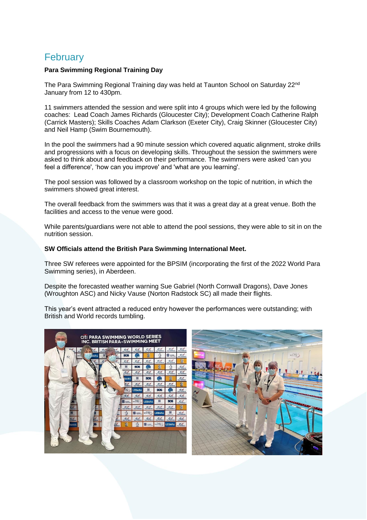## **February**

#### **Para Swimming Regional Training Day**

The Para Swimming Regional Training day was held at Taunton School on Saturday 22nd January from 12 to 430pm.

11 swimmers attended the session and were split into 4 groups which were led by the following coaches: Lead Coach James Richards (Gloucester City); Development Coach Catherine Ralph (Carrick Masters); Skills Coaches Adam Clarkson (Exeter City), Craig Skinner (Gloucester City) and Neil Hamp (Swim Bournemouth).

In the pool the swimmers had a 90 minute session which covered aquatic alignment, stroke drills and progressions with a focus on developing skills. Throughout the session the swimmers were asked to think about and feedback on their performance. The swimmers were asked 'can you feel a difference', 'how can you improve' and 'what are you learning'.

The pool session was followed by a classroom workshop on the topic of nutrition, in which the swimmers showed great interest.

The overall feedback from the swimmers was that it was a great day at a great venue. Both the facilities and access to the venue were good.

While parents/guardians were not able to attend the pool sessions, they were able to sit in on the nutrition session.

#### **SW Officials attend the British Para Swimming International Meet.**

Three SW referees were appointed for the BPSIM (incorporating the first of the 2022 World Para Swimming series), in Aberdeen.

Despite the forecasted weather warning Sue Gabriel (North Cornwall Dragons), Dave Jones (Wroughton ASC) and Nicky Vause (Norton Radstock SC) all made their flights.

This year's event attracted a reduced entry however the performances were outstanding; with British and World records tumbling.

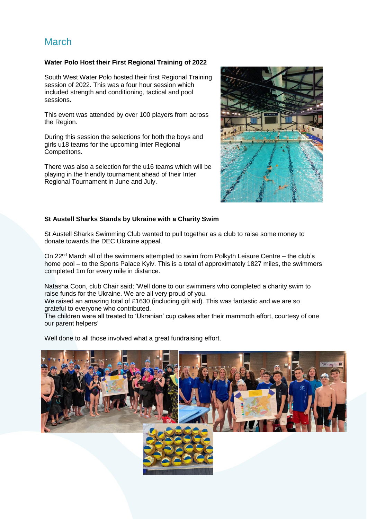## March

#### **Water Polo Host their First Regional Training of 2022**

South West Water Polo hosted their first Regional Training session of 2022. This was a four hour session which included strength and conditioning, tactical and pool sessions.

This event was attended by over 100 players from across the Region.

During this session the selections for both the boys and girls u18 teams for the upcoming Inter Regional Competitons.

There was also a selection for the u16 teams which will be playing in the friendly tournament ahead of their Inter Regional Tournament in June and July.



#### **St Austell Sharks Stands by Ukraine with a Charity Swim**

St Austell Sharks Swimming Club wanted to pull together as a club to raise some money to donate towards the DEC Ukraine appeal.

On 22nd March all of the swimmers attempted to swim from Polkyth Leisure Centre – the club's home pool – to the Sports Palace Kyiv. This is a total of approximately 1827 miles, the swimmers completed 1m for every mile in distance.

Natasha Coon, club Chair said; 'Well done to our swimmers who completed a charity swim to raise funds for the Ukraine. We are all very proud of you.

We raised an amazing total of £1630 (including gift aid). This was fantastic and we are so grateful to everyone who contributed.

The children were all treated to 'Ukranian' cup cakes after their mammoth effort, courtesy of one our parent helpers'

Well done to all those involved what a great fundraising effort.